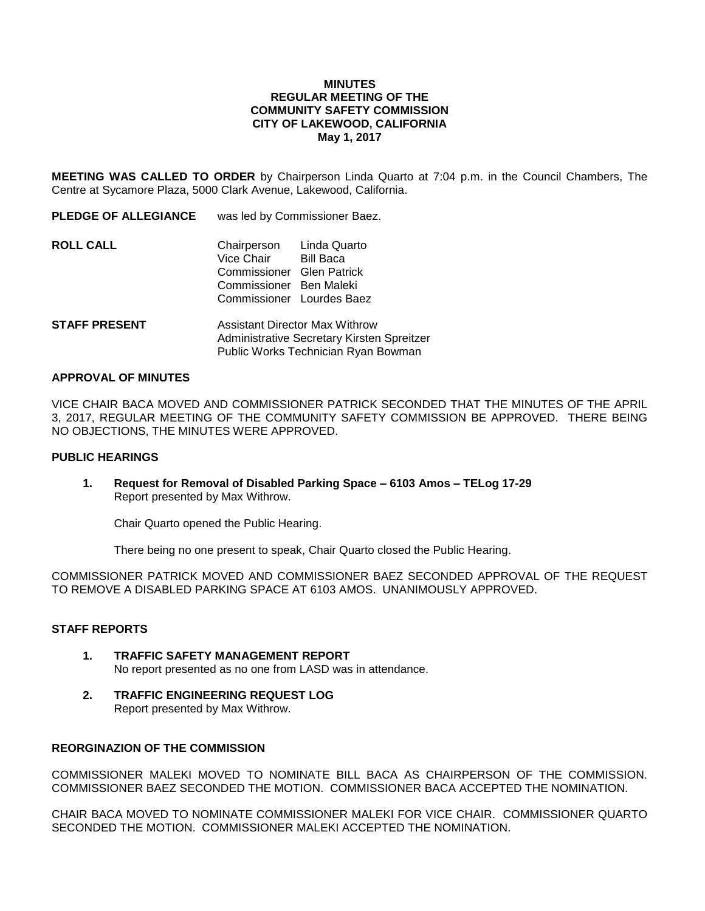### **MINUTES REGULAR MEETING OF THE COMMUNITY SAFETY COMMISSION CITY OF LAKEWOOD, CALIFORNIA May 1, 2017**

**MEETING WAS CALLED TO ORDER** by Chairperson Linda Quarto at 7:04 p.m. in the Council Chambers, The Centre at Sycamore Plaza, 5000 Clark Avenue, Lakewood, California.

**PLEDGE OF ALLEGIANCE** was led by Commissioner Baez.

| Chairperson | Linda Quarto                                                                      |
|-------------|-----------------------------------------------------------------------------------|
| Vice Chair  | Bill Baca                                                                         |
|             |                                                                                   |
|             |                                                                                   |
|             |                                                                                   |
|             | Commissioner Glen Patrick<br>Commissioner Ben Maleki<br>Commissioner Lourdes Baez |

**STAFF PRESENT** Assistant Director Max Withrow Administrative Secretary Kirsten Spreitzer Public Works Technician Ryan Bowman

#### **APPROVAL OF MINUTES**

VICE CHAIR BACA MOVED AND COMMISSIONER PATRICK SECONDED THAT THE MINUTES OF THE APRIL 3, 2017, REGULAR MEETING OF THE COMMUNITY SAFETY COMMISSION BE APPROVED. THERE BEING NO OBJECTIONS, THE MINUTES WERE APPROVED.

### **PUBLIC HEARINGS**

**1. Request for Removal of Disabled Parking Space – 6103 Amos – TELog 17-29** Report presented by Max Withrow.

Chair Quarto opened the Public Hearing.

There being no one present to speak, Chair Quarto closed the Public Hearing.

COMMISSIONER PATRICK MOVED AND COMMISSIONER BAEZ SECONDED APPROVAL OF THE REQUEST TO REMOVE A DISABLED PARKING SPACE AT 6103 AMOS. UNANIMOUSLY APPROVED.

### **STAFF REPORTS**

- **1. TRAFFIC SAFETY MANAGEMENT REPORT** No report presented as no one from LASD was in attendance.
- **2. TRAFFIC ENGINEERING REQUEST LOG** Report presented by Max Withrow.

## **REORGINAZION OF THE COMMISSION**

COMMISSIONER MALEKI MOVED TO NOMINATE BILL BACA AS CHAIRPERSON OF THE COMMISSION. COMMISSIONER BAEZ SECONDED THE MOTION. COMMISSIONER BACA ACCEPTED THE NOMINATION.

CHAIR BACA MOVED TO NOMINATE COMMISSIONER MALEKI FOR VICE CHAIR. COMMISSIONER QUARTO SECONDED THE MOTION. COMMISSIONER MALEKI ACCEPTED THE NOMINATION.